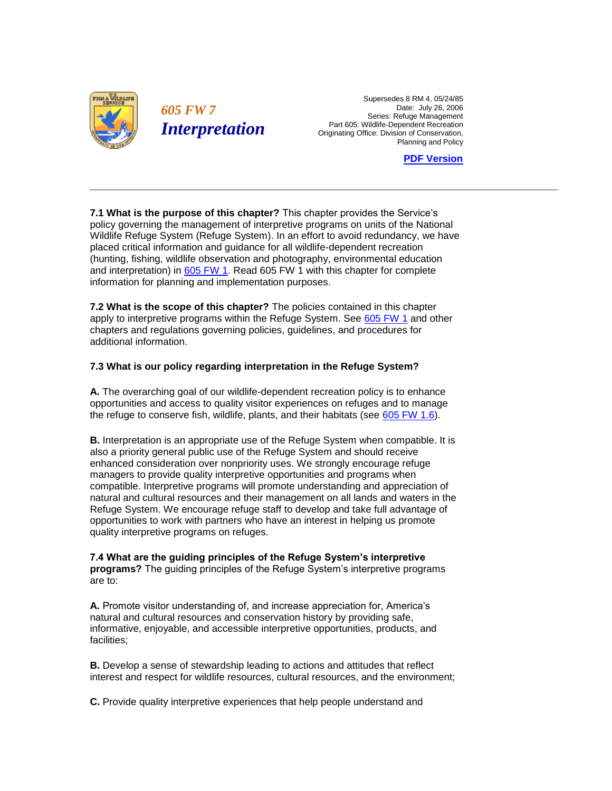

 Supersedes 8 RM 4, 05/24/85 Date: July 26, 2006 Part 605: Wildlife-Dependent Recreation Originating Office: Division of Conservation, **FW 7** Date: July 26, 2006<br>Series: Refuge Management Planning and Policy

**[PDF Version](http://policy.fws.gov/605fw7.pdf)** 

 policy governing the management of interpretive programs on units of the National **7.1 What is the purpose of this chapter?** This chapter provides the Service's Wildlife Refuge System (Refuge System). In an effort to avoid redundancy, we have placed critical information and guidance for all wildlife-dependent recreation (hunting, fishing, wildlife observation and photography, environmental education and interpretation) in [605 FW 1.](http://www.fws.gov/policy/605fw1.html) Read 605 FW 1 with this chapter for complete information for planning and implementation purposes.

**7.2 What is the scope of this chapter?** The policies contained in this chapter apply to interpretive programs within the Refuge System. See [605 FW 1](http://www.fws.gov/policy/605fw1.html) and other chapters and regulations governing policies, guidelines, and procedures for additional information.

## **7.3 What is our policy regarding interpretation in the Refuge System?**

 **A.** The overarching goal of our wildlife-dependent recreation policy is to enhance opportunities and access to quality visitor experiences on refuges and to manage the refuge to conserve fish, wildlife, plants, and their habitats (see [605 FW 1.6\)](http://www.fws.gov/policy/605fw1.html).

 natural and cultural resources and their management on all lands and waters in the **B.** Interpretation is an appropriate use of the Refuge System when compatible. It is also a priority general public use of the Refuge System and should receive enhanced consideration over nonpriority uses. We strongly encourage refuge managers to provide quality interpretive opportunities and programs when compatible. Interpretive programs will promote understanding and appreciation of Refuge System. We encourage refuge staff to develop and take full advantage of opportunities to work with partners who have an interest in helping us promote quality interpretive programs on refuges.

**7.4 What are the guiding principles of the Refuge System's interpretive programs?** The guiding principles of the Refuge System's interpretive programs are to:

**A.** Promote visitor understanding of, and increase appreciation for, America's natural and cultural resources and conservation history by providing safe, informative, enjoyable, and accessible interpretive opportunities, products, and facilities;

 **B.** Develop a sense of stewardship leading to actions and attitudes that reflect interest and respect for wildlife resources, cultural resources, and the environment;

**C.** Provide quality interpretive experiences that help people understand and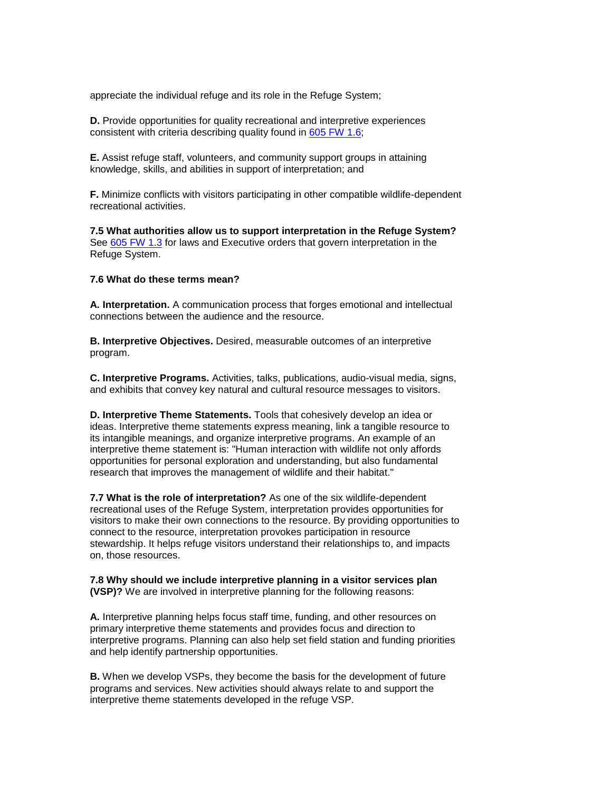appreciate the individual refuge and its role in the Refuge System;

**D.** Provide opportunities for quality recreational and interpretive experiences consistent with criteria describing quality found in [605 FW 1.6;](http://www.fws.gov/policy/605fw1.html)

**E.** Assist refuge staff, volunteers, and community support groups in attaining knowledge, skills, and abilities in support of interpretation; and

**F.** Minimize conflicts with visitors participating in other compatible wildlife-dependent recreational activities.

**7.5 What authorities allow us to support interpretation in the Refuge System?**  See [605 FW 1.3](http://www.fws.gov/policy/605fw1.html) for laws and Executive orders that govern interpretation in the Refuge System.

## **7.6 What do these terms mean?**

**A. Interpretation.** A communication process that forges emotional and intellectual connections between the audience and the resource.

**B. Interpretive Objectives.** Desired, measurable outcomes of an interpretive program.

**C. Interpretive Programs.** Activities, talks, publications, audio-visual media, signs, and exhibits that convey key natural and cultural resource messages to visitors.

 **D. Interpretive Theme Statements.** Tools that cohesively develop an idea or ideas. Interpretive theme statements express meaning, link a tangible resource to its intangible meanings, and organize interpretive programs. An example of an interpretive theme statement is: "Human interaction with wildlife not only affords opportunities for personal exploration and understanding, but also fundamental research that improves the management of wildlife and their habitat."

**7.7 What is the role of interpretation?** As one of the six wildlife-dependent recreational uses of the Refuge System, interpretation provides opportunities for visitors to make their own connections to the resource. By providing opportunities to connect to the resource, interpretation provokes participation in resource stewardship. It helps refuge visitors understand their relationships to, and impacts on, those resources.

## **7.8 Why should we include interpretive planning in a visitor services plan (VSP)?** We are involved in interpretive planning for the following reasons:

 interpretive programs. Planning can also help set field station and funding priorities **A.** Interpretive planning helps focus staff time, funding, and other resources on primary interpretive theme statements and provides focus and direction to and help identify partnership opportunities.

**B.** When we develop VSPs, they become the basis for the development of future programs and services. New activities should always relate to and support the interpretive theme statements developed in the refuge VSP.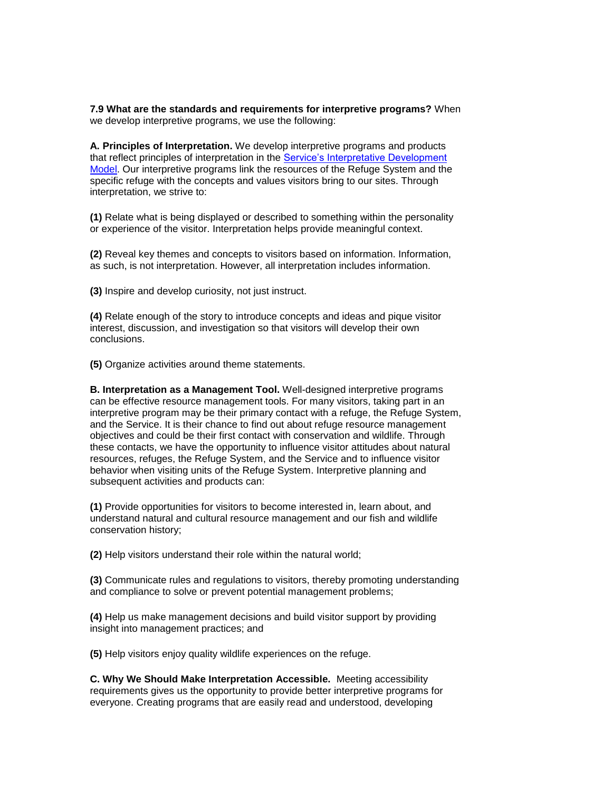**7.9 What are the standards and requirements for interpretive programs?** When we develop interpretive programs, we use the following:

that reflect principles of interpretation in the **Service's Interpretative Development A. Principles of Interpretation.** We develop interpretive programs and products [Model.](http://training.fws.gov/deo/) Our interpretive programs link the resources of the Refuge System and the specific refuge with the concepts and values visitors bring to our sites. Through interpretation, we strive to:

 **(1)** Relate what is being displayed or described to something within the personality or experience of the visitor. Interpretation helps provide meaningful context.

**(2)** Reveal key themes and concepts to visitors based on information. Information, as such, is not interpretation. However, all interpretation includes information.

**(3)** Inspire and develop curiosity, not just instruct.

 **(4)** Relate enough of the story to introduce concepts and ideas and pique visitor interest, discussion, and investigation so that visitors will develop their own conclusions.

**(5)** Organize activities around theme statements.

 can be effective resource management tools. For many visitors, taking part in an interpretive program may be their primary contact with a refuge, the Refuge System, behavior when visiting units of the Refuge System. Interpretive planning and **B. Interpretation as a Management Tool.** Well-designed interpretive programs and the Service. It is their chance to find out about refuge resource management objectives and could be their first contact with conservation and wildlife. Through these contacts, we have the opportunity to influence visitor attitudes about natural resources, refuges, the Refuge System, and the Service and to influence visitor subsequent activities and products can:

 understand natural and cultural resource management and our fish and wildlife **(1)** Provide opportunities for visitors to become interested in, learn about, and conservation history;

**(2)** Help visitors understand their role within the natural world;

 **(3)** Communicate rules and regulations to visitors, thereby promoting understanding and compliance to solve or prevent potential management problems;

**(4)** Help us make management decisions and build visitor support by providing insight into management practices; and

**(5)** Help visitors enjoy quality wildlife experiences on the refuge.

**C. Why We Should Make Interpretation Accessible.** Meeting accessibility requirements gives us the opportunity to provide better interpretive programs for everyone. Creating programs that are easily read and understood, developing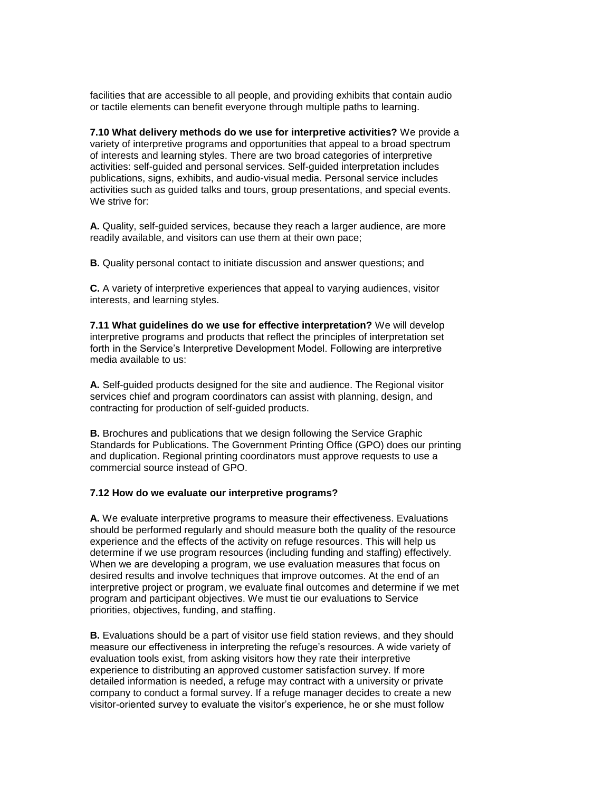facilities that are accessible to all people, and providing exhibits that contain audio or tactile elements can benefit everyone through multiple paths to learning.

 activities: self-guided and personal services. Self-guided interpretation includes **7.10 What delivery methods do we use for interpretive activities?** We provide a variety of interpretive programs and opportunities that appeal to a broad spectrum of interests and learning styles. There are two broad categories of interpretive publications, signs, exhibits, and audio-visual media. Personal service includes activities such as guided talks and tours, group presentations, and special events. We strive for:

**A.** Quality, self-guided services, because they reach a larger audience, are more readily available, and visitors can use them at their own pace;

**B.** Quality personal contact to initiate discussion and answer questions; and

**C.** A variety of interpretive experiences that appeal to varying audiences, visitor interests, and learning styles.

**7.11 What guidelines do we use for effective interpretation?** We will develop interpretive programs and products that reflect the principles of interpretation set forth in the Service's Interpretive Development Model. Following are interpretive media available to us:

**A.** Self-guided products designed for the site and audience. The Regional visitor services chief and program coordinators can assist with planning, design, and contracting for production of self-guided products.

 and duplication. Regional printing coordinators must approve requests to use a **B.** Brochures and publications that we design following the Service Graphic Standards for Publications. The Government Printing Office (GPO) does our printing commercial source instead of GPO.

## **7.12 How do we evaluate our interpretive programs?**

**A.** We evaluate interpretive programs to measure their effectiveness. Evaluations should be performed regularly and should measure both the quality of the resource experience and the effects of the activity on refuge resources. This will help us determine if we use program resources (including funding and staffing) effectively. When we are developing a program, we use evaluation measures that focus on desired results and involve techniques that improve outcomes. At the end of an interpretive project or program, we evaluate final outcomes and determine if we met program and participant objectives. We must tie our evaluations to Service priorities, objectives, funding, and staffing.

 measure our effectiveness in interpreting the refuge's resources. A wide variety of evaluation tools exist, from asking visitors how they rate their interpretive visitor-oriented survey to evaluate the visitor's experience, he or she must follow **B.** Evaluations should be a part of visitor use field station reviews, and they should experience to distributing an approved customer satisfaction survey. If more detailed information is needed, a refuge may contract with a university or private company to conduct a formal survey. If a refuge manager decides to create a new